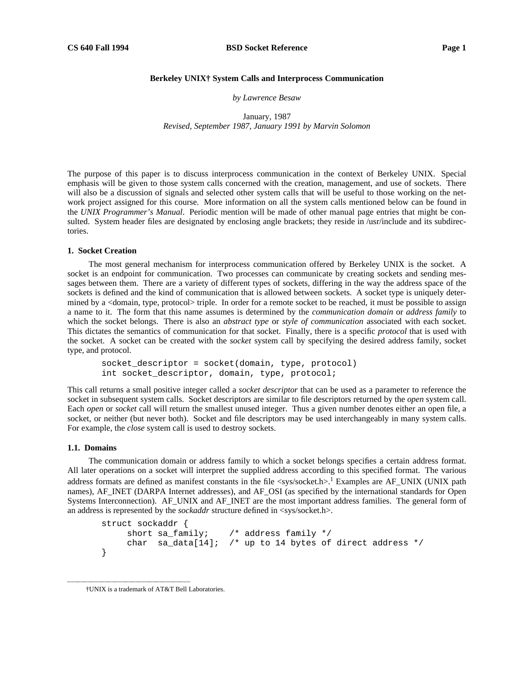## **Berkeley UNIX† System Calls and Interprocess Communication**

*by Lawrence Besaw*

January, 1987 *Revised, September 1987, January 1991 by Marvin Solomon*

The purpose of this paper is to discuss interprocess communication in the context of Berkeley UNIX. Special emphasis will be given to those system calls concerned with the creation, management, and use of sockets. There will also be a discussion of signals and selected other system calls that will be useful to those working on the network project assigned for this course. More information on all the system calls mentioned below can be found in the *UNIX Programmer's Manual*. Periodic mention will be made of other manual page entries that might be consulted. System header files are designated by enclosing angle brackets; they reside in /usr/include and its subdirectories.

### **1. Socket Creation**

The most general mechanism for interprocess communication offered by Berkeley UNIX is the socket. A socket is an endpoint for communication. Two processes can communicate by creating sockets and sending messages between them. There are a variety of different types of sockets, differing in the way the address space of the sockets is defined and the kind of communication that is allowed between sockets. A socket type is uniquely determined by a <domain, type, protocol> triple. In order for a remote socket to be reached, it must be possible to assign a name to it. The form that this name assumes is determined by the *communication domain* or *address family* to which the socket belongs. There is also an *abstract type* or *style of communication* associated with each socket. This dictates the semantics of communication for that socket. Finally, there is a specific *protocol* that is used with the socket. A socket can be created with the *socket* system call by specifying the desired address family, socket type, and protocol.

socket\_descriptor = socket(domain, type, protocol) int socket\_descriptor, domain, type, protocol;

This call returns a small positive integer called a *socket descriptor* that can be used as a parameter to reference the socket in subsequent system calls. Socket descriptors are similar to file descriptors returned by the *open* system call. Each *open* or *socket* call will return the smallest unused integer. Thus a given number denotes either an open file, a socket, or neither (but never both). Socket and file descriptors may be used interchangeably in many system calls. For example, the *close* system call is used to destroy sockets.

### **1.1. Domains**

The communication domain or address family to which a socket belongs specifies a certain address format. All later operations on a socket will interpret the supplied address according to this specified format. The various address formats are defined as manifest constants in the file  $\langle$ sys/socket.h>.<sup>1</sup> Examples are AF\_UNIX (UNIX path names), AF\_INET (DARPA Internet addresses), and AF\_OSI (as specified by the international standards for Open Systems Interconnection). AF\_UNIX and AF\_INET are the most important address families. The general form of an address is represented by the *sockaddr* structure defined in <sys/socket.h>.

```
struct sockaddr {
    short sa_family; /* address family */
    char sa_data[14]; /* up to 14 bytes of direct address */
}
```
hhhhhhhhhhhhhhhhhhhhhhhhhhhhhhhhhhhh

<sup>†</sup>UNIX is a trademark of AT&T Bell Laboratories.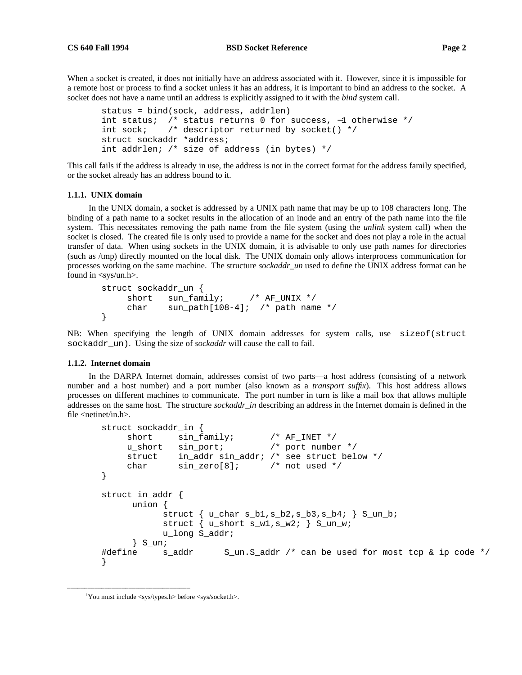When a socket is created, it does not initially have an address associated with it. However, since it is impossible for a remote host or process to find a socket unless it has an address, it is important to bind an address to the socket. A socket does not have a name until an address is explicitly assigned to it with the *bind* system call.

```
status = bind(sock, address, addrlen)
int status; /* status returns 0 for success, −1 otherwise */
int sock; /* descriptor returned by socket() */
struct sockaddr *address;
int addrlen; /* size of address (in bytes) */
```
This call fails if the address is already in use, the address is not in the correct format for the address family specified, or the socket already has an address bound to it.

## **1.1.1. UNIX domain**

In the UNIX domain, a socket is addressed by a UNIX path name that may be up to 108 characters long. The binding of a path name to a socket results in the allocation of an inode and an entry of the path name into the file system. This necessitates removing the path name from the file system (using the *unlink* system call) when the socket is closed. The created file is only used to provide a name for the socket and does not play a role in the actual transfer of data. When using sockets in the UNIX domain, it is advisable to only use path names for directories (such as /tmp) directly mounted on the local disk. The UNIX domain only allows interprocess communication for processes working on the same machine. The structure *sockaddr\_un* used to define the UNIX address format can be found in <sys/un.h>.

```
struct sockaddr_un {
    short sun_family; /* AF_UNIX */
    char sun_path[108-4]; /* path name */
}
```
NB: When specifying the length of UNIX domain addresses for system calls, use sizeof(struct sockaddr un). Using the size of *sockaddr* will cause the call to fail.

### **1.1.2. Internet domain**

In the DARPA Internet domain, addresses consist of two parts—a host address (consisting of a network number and a host number) and a port number (also known as a *transport suffix*). This host address allows processes on different machines to communicate. The port number in turn is like a mail box that allows multiple addresses on the same host. The structure *sockaddr in* describing an address in the Internet domain is defined in the file  $\langle$ netinet $\langle$ in.h $\rangle$ .

```
struct sockaddr_in {
     short sin family; / AF INET */u_short sin_port; /* port number */
     struct in addr sin addr; /* see struct below */
     char sin zero[8]; /* not used */}
struct in addr {
      union {
            struct \{ u_{char} s_b1, s_b2, s_b3, s_b4 \} S_un_b;
            struct \{ u_{\text{short}} s_{\text{w1}}, s_{\text{w2}}; \} S<sub>_un_w</sub>;
            u long S addr;
      } S_un;
#define s_addr S_un.S_addr /* can be used for most tcp & ip code */
}
```
hhhhhhhhhhhhhhhhhhhhhhhhhhhhhhhhhhhh

<sup>1</sup> You must include <sys/types.h> before <sys/socket.h>.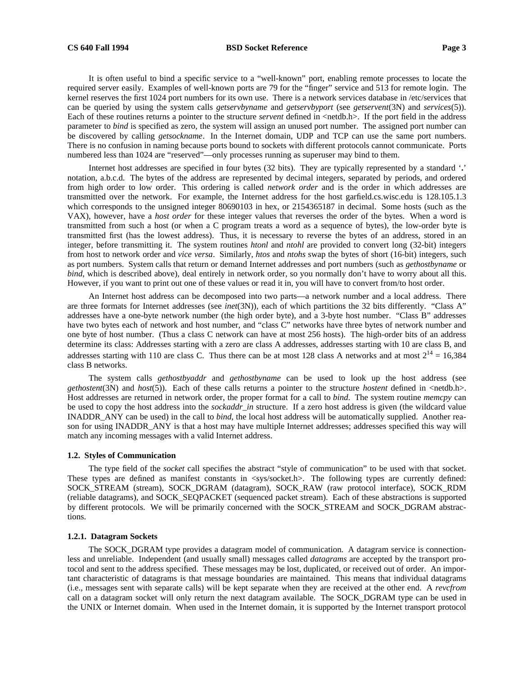# **CS 640 Fall 1994 BSD Socket Reference Page 3**

It is often useful to bind a specific service to a "well-known" port, enabling remote processes to locate the required server easily. Examples of well-known ports are 79 for the "finger" service and 513 for remote login. The kernel reserves the first 1024 port numbers for its own use. There is a network services database in /etc/services that can be queried by using the system calls *getservbyname* and *getservbyport* (see *getservent*(3N) and *services*(5)). Each of these routines returns a pointer to the structure *servent* defined in <netdb.h>. If the port field in the address parameter to *bind* is specified as zero, the system will assign an unused port number. The assigned port number can be discovered by calling *getsockname*. In the Internet domain, UDP and TCP can use the same port numbers. There is no confusion in naming because ports bound to sockets with different protocols cannot communicate. Ports numbered less than 1024 are "reserved"—only processes running as superuser may bind to them.

Internet host addresses are specified in four bytes (32 bits). They are typically represented by a standard '**.**' notation, a.b.c.d. The bytes of the address are represented by decimal integers, separated by periods, and ordered from high order to low order. This ordering is called *network order* and is the order in which addresses are transmitted over the network. For example, the Internet address for the host garfield.cs.wisc.edu is 128.105.1.3 which corresponds to the unsigned integer 80690103 in hex, or 2154365187 in decimal. Some hosts (such as the VAX), however, have a *host order* for these integer values that reverses the order of the bytes. When a word is transmitted from such a host (or when a C program treats a word as a sequence of bytes), the low-order byte is transmitted first (has the lowest address). Thus, it is necessary to reverse the bytes of an address, stored in an integer, before transmitting it. The system routines *htonl* and *ntohl* are provided to convert long (32-bit) integers from host to network order and *vice versa*. Similarly, *htos* and *ntohs* swap the bytes of short (16-bit) integers, such as port numbers. System calls that return or demand Internet addresses and port numbers (such as *gethostbyname* or *bind*, which is described above), deal entirely in network order, so you normally don't have to worry about all this. However, if you want to print out one of these values or read it in, you will have to convert from/to host order.

An Internet host address can be decomposed into two parts—a network number and a local address. There are three formats for Internet addresses (see *inet*(3N)), each of which partitions the 32 bits differently. "Class A" addresses have a one-byte network number (the high order byte), and a 3-byte host number. "Class B" addresses have two bytes each of network and host number, and "class C" networks have three bytes of network number and one byte of host number. (Thus a class C network can have at most 256 hosts). The high-order bits of an address determine its class: Addresses starting with a zero are class A addresses, addresses starting with 10 are class B, and addresses starting with 110 are class C. Thus there can be at most 128 class A networks and at most  $2^{14} = 16,384$ class B networks.

The system calls *gethostbyaddr* and *gethostbyname* can be used to look up the host address (see *gethostent*(3N) and *host*(5)). Each of these calls returns a pointer to the structure *hostent* defined in <netdb.h>. Host addresses are returned in network order, the proper format for a call to *bind*. The system routine *memcpy* can be used to copy the host address into the *sockaddr in* structure. If a zero host address is given (the wildcard value INADDR\_ANY can be used) in the call to *bind*, the local host address will be automatically supplied. Another reason for using INADDR\_ANY is that a host may have multiple Internet addresses; addresses specified this way will match any incoming messages with a valid Internet address.

#### **1.2. Styles of Communication**

The type field of the *socket* call specifies the abstract "style of communication" to be used with that socket. These types are defined as manifest constants in  $\langle$ sys/socket.h>. The following types are currently defined: SOCK\_STREAM (stream), SOCK\_DGRAM (datagram), SOCK\_RAW (raw protocol interface), SOCK\_RDM (reliable datagrams), and SOCK\_SEQPACKET (sequenced packet stream). Each of these abstractions is supported by different protocols. We will be primarily concerned with the SOCK\_STREAM and SOCK\_DGRAM abstractions.

#### **1.2.1. Datagram Sockets**

The SOCK\_DGRAM type provides a datagram model of communication. A datagram service is connectionless and unreliable. Independent (and usually small) messages called *datagrams* are accepted by the transport protocol and sent to the address specified. These messages may be lost, duplicated, or received out of order. An important characteristic of datagrams is that message boundaries are maintained. This means that individual datagrams (i.e., messages sent with separate calls) will be kept separate when they are received at the other end. A *revcfrom* call on a datagram socket will only return the next datagram available. The SOCK\_DGRAM type can be used in the UNIX or Internet domain. When used in the Internet domain, it is supported by the Internet transport protocol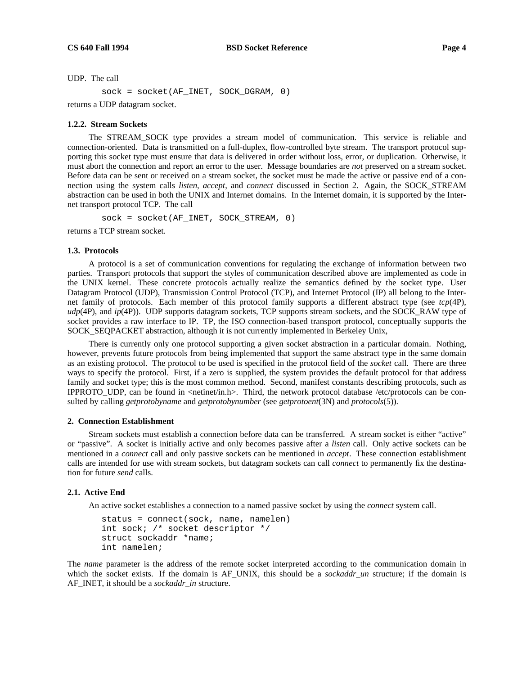UDP. The call

```
sock = socket(AF_INET, SOCK_DGRAM, 0)
```
returns a UDP datagram socket.

### **1.2.2. Stream Sockets**

The STREAM\_SOCK type provides a stream model of communication. This service is reliable and connection-oriented. Data is transmitted on a full-duplex, flow-controlled byte stream. The transport protocol supporting this socket type must ensure that data is delivered in order without loss, error, or duplication. Otherwise, it must abort the connection and report an error to the user. Message boundaries are *not* preserved on a stream socket. Before data can be sent or received on a stream socket, the socket must be made the active or passive end of a connection using the system calls *listen*, *accept*, and *connect* discussed in Section 2. Again, the SOCK\_STREAM abstraction can be used in both the UNIX and Internet domains. In the Internet domain, it is supported by the Internet transport protocol TCP. The call

 $sock = socket(AF INET, SOCK STREAM, 0)$ 

returns a TCP stream socket.

### **1.3. Protocols**

A protocol is a set of communication conventions for regulating the exchange of information between two parties. Transport protocols that support the styles of communication described above are implemented as code in the UNIX kernel. These concrete protocols actually realize the semantics defined by the socket type. User Datagram Protocol (UDP), Transmission Control Protocol (TCP), and Internet Protocol (IP) all belong to the Internet family of protocols. Each member of this protocol family supports a different abstract type (see *tcp*(4P), *udp*(4P), and *ip*(4P)). UDP supports datagram sockets, TCP supports stream sockets, and the SOCK\_RAW type of socket provides a raw interface to IP. TP, the ISO connection-based transport protocol, conceptually supports the SOCK\_SEQPACKET abstraction, although it is not currently implemented in Berkeley Unix,

There is currently only one protocol supporting a given socket abstraction in a particular domain. Nothing, however, prevents future protocols from being implemented that support the same abstract type in the same domain as an existing protocol. The protocol to be used is specified in the protocol field of the *socket* call. There are three ways to specify the protocol. First, if a zero is supplied, the system provides the default protocol for that address family and socket type; this is the most common method. Second, manifest constants describing protocols, such as IPPROTO\_UDP, can be found in <netinet/in.h>. Third, the network protocol database /etc/protocols can be consulted by calling *getprotobyname* and *getprotobynumber* (see *getprotoent*(3N) and *protocols*(5)).

# **2. Connection Establishment**

Stream sockets must establish a connection before data can be transferred. A stream socket is either "active" or "passive". A socket is initially active and only becomes passive after a *listen* call. Only active sockets can be mentioned in a *connect* call and only passive sockets can be mentioned in *accept*. These connection establishment calls are intended for use with stream sockets, but datagram sockets can call *connect* to permanently fix the destination for future *send* calls.

### **2.1. Active End**

An active socket establishes a connection to a named passive socket by using the *connect* system call.

```
status = connect(sock, name, namelen)
int sock; /* socket descriptor */
struct sockaddr *name;
int namelen;
```
The *name* parameter is the address of the remote socket interpreted according to the communication domain in which the socket exists. If the domain is AF\_UNIX, this should be a *sockaddr\_un* structure; if the domain is AF\_INET, it should be a *sockaddr\_in* structure.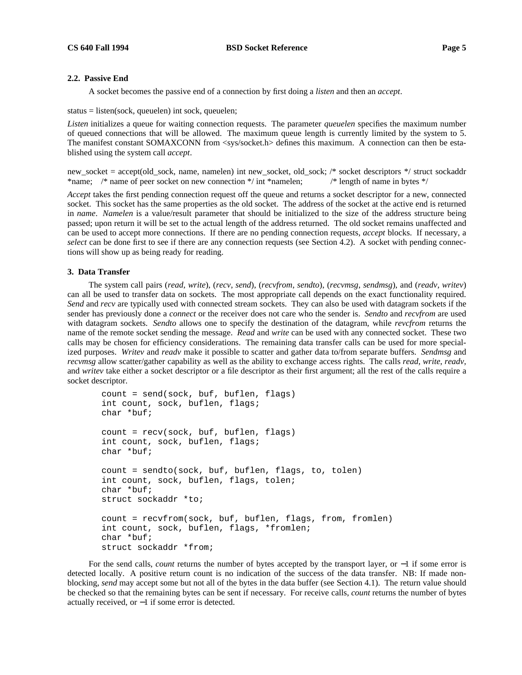## **2.2. Passive End**

A socket becomes the passive end of a connection by first doing a *listen* and then an *accept*.

status = listen(sock, queuelen) int sock, queuelen;

*Listen* initializes a queue for waiting connection requests. The parameter *queuelen* specifies the maximum number of queued connections that will be allowed. The maximum queue length is currently limited by the system to 5. The manifest constant SOMAXCONN from <sys/socket.h> defines this maximum. A connection can then be established using the system call *accept*.

new\_socket = accept(old\_sock, name, namelen) int new\_socket, old\_sock; /\* socket descriptors \*/ struct sockaddr \*name; /\* name of peer socket on new connection \*/ int \*namelen; /\* length of name in bytes \*/

*Accept* takes the first pending connection request off the queue and returns a socket descriptor for a new, connected socket. This socket has the same properties as the old socket. The address of the socket at the active end is returned in *name*. *Namelen* is a value/result parameter that should be initialized to the size of the address structure being passed; upon return it will be set to the actual length of the address returned. The old socket remains unaffected and can be used to accept more connections. If there are no pending connection requests, *accept* blocks. If necessary, a *select* can be done first to see if there are any connection requests (see Section 4.2). A socket with pending connections will show up as being ready for reading.

## **3. Data Transfer**

The system call pairs (*read*, *write*), (*recv*, *send*), (*recvfrom*, *sendto*), (*recvmsg*, *sendmsg*), and (*readv*, *writev*) can all be used to transfer data on sockets. The most appropriate call depends on the exact functionality required. *Send* and *recv* are typically used with connected stream sockets. They can also be used with datagram sockets if the sender has previously done a *connect* or the receiver does not care who the sender is. *Sendto* and *recvfrom* are used with datagram sockets. *Sendto* allows one to specify the destination of the datagram, while *revcfrom* returns the name of the remote socket sending the message. *Read* and *write* can be used with any connected socket. These two calls may be chosen for efficiency considerations. The remaining data transfer calls can be used for more specialized purposes. *Writev* and *readv* make it possible to scatter and gather data to/from separate buffers. *Sendmsg* and *recvmsg* allow scatter/gather capability as well as the ability to exchange access rights. The calls *read*, *write*, *readv*, and *writev* take either a socket descriptor or a file descriptor as their first argument; all the rest of the calls require a socket descriptor.

```
count = send(sock, buf, buflen, flags)
int count, sock, buflen, flags;
char *buf;
count = recv(sock, buf, buflen, flags)
int count, sock, buflen, flags;
char *buf;
count = sendto(sock, buf, buflen, flags, to, tolen)
int count, sock, buflen, flags, tolen;
char *buf;
struct sockaddr *to;
count = recvfrom(sock, buf, buflen, flags, from, fromlen)
int count, sock, buflen, flags, *fromlen;
char *buf;
struct sockaddr *from;
```
For the send calls, *count* returns the number of bytes accepted by the transport layer, or −1 if some error is detected locally. A positive return count is no indication of the success of the data transfer. NB: If made nonblocking, *send* may accept some but not all of the bytes in the data buffer (see Section 4.1). The return value should be checked so that the remaining bytes can be sent if necessary. For receive calls, *count* returns the number of bytes actually received, or −1 if some error is detected.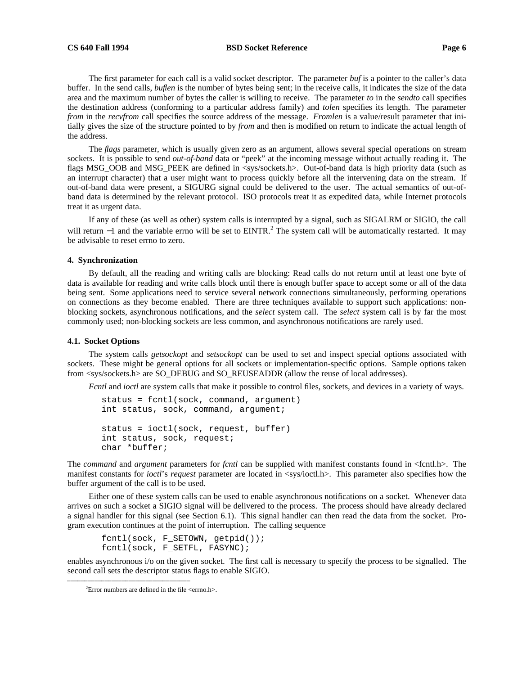## **CS 640 Fall 1994 BSD Socket Reference Page 6**

The first parameter for each call is a valid socket descriptor. The parameter *buf* is a pointer to the caller's data buffer. In the send calls, *buflen* is the number of bytes being sent; in the receive calls, it indicates the size of the data area and the maximum number of bytes the caller is willing to receive. The parameter *to* in the *sendto* call specifies the destination address (conforming to a particular address family) and *tolen* specifies its length. The parameter *from* in the *recvfrom* call specifies the source address of the message. *Fromlen* is a value/result parameter that initially gives the size of the structure pointed to by *from* and then is modified on return to indicate the actual length of the address.

The *flags* parameter, which is usually given zero as an argument, allows several special operations on stream sockets. It is possible to send *out-of-band* data or "peek" at the incoming message without actually reading it. The flags MSG\_OOB and MSG\_PEEK are defined in <sys/sockets.h>. Out-of-band data is high priority data (such as an interrupt character) that a user might want to process quickly before all the intervening data on the stream. If out-of-band data were present, a SIGURG signal could be delivered to the user. The actual semantics of out-ofband data is determined by the relevant protocol. ISO protocols treat it as expedited data, while Internet protocols treat it as urgent data.

If any of these (as well as other) system calls is interrupted by a signal, such as SIGALRM or SIGIO, the call will return −1 and the variable errno will be set to EINTR.<sup>2</sup> The system call will be automatically restarted. It may be advisable to reset errno to zero.

## **4. Synchronization**

By default, all the reading and writing calls are blocking: Read calls do not return until at least one byte of data is available for reading and write calls block until there is enough buffer space to accept some or all of the data being sent. Some applications need to service several network connections simultaneously, performing operations on connections as they become enabled. There are three techniques available to support such applications: nonblocking sockets, asynchronous notifications, and the *select* system call. The *select* system call is by far the most commonly used; non-blocking sockets are less common, and asynchronous notifications are rarely used.

### **4.1. Socket Options**

The system calls *getsockopt* and *setsockopt* can be used to set and inspect special options associated with sockets. These might be general options for all sockets or implementation-specific options. Sample options taken from <sys/sockets.h> are SO\_DEBUG and SO\_REUSEADDR (allow the reuse of local addresses).

*Fcntl* and *ioctl* are system calls that make it possible to control files, sockets, and devices in a variety of ways.

```
status = fcntl(sock, command, argument)
int status, sock, command, argument;
status = ioctl(sock, request, buffer)
int status, sock, request;
char *buffer;
```
The *command* and *argument* parameters for *fcntl* can be supplied with manifest constants found in <fcntl.h>. The manifest constants for *ioctl*'s *request* parameter are located in <sys/ioctl.h>. This parameter also specifies how the buffer argument of the call is to be used.

Either one of these system calls can be used to enable asynchronous notifications on a socket. Whenever data arrives on such a socket a SIGIO signal will be delivered to the process. The process should have already declared a signal handler for this signal (see Section 6.1). This signal handler can then read the data from the socket. Program execution continues at the point of interruption. The calling sequence

```
fcntl(sock, F_SETOWN, getpid());
fcntl(sock, F_SETFL, FASYNC);
```
enables asynchronous i/o on the given socket. The first call is necessary to specify the process to be signalled. The second call sets the descriptor status flags to enable SIGIO.

hhhhhhhhhhhhhhhhhhhhhhhhhhhhhhhhhhhh

<sup>&</sup>lt;sup>2</sup> Error numbers are defined in the file  $\leq$  errno.h>.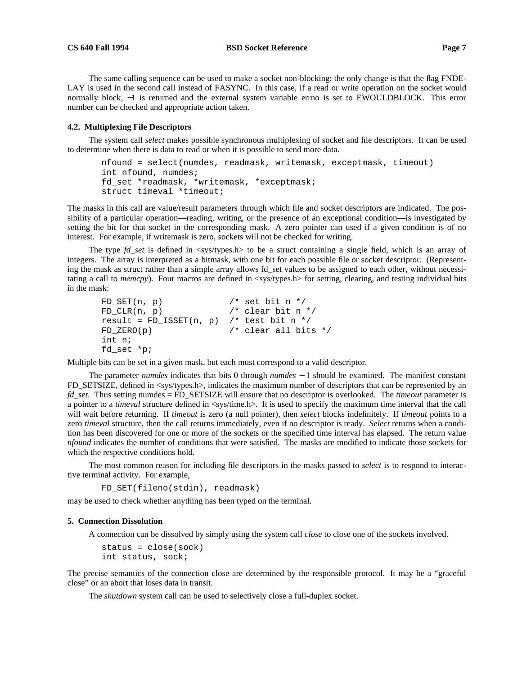## **CS 640 Fall 1994 BSD Socket Reference Page 7**

The same calling sequence can be used to make a socket non-blocking; the only change is that the flag FNDE-LAY is used in the second call instead of FASYNC. In this case, if a read or write operation on the socket would normally block, −1 is returned and the external system variable errno is set to EWOULDBLOCK. This error number can be checked and appropriate action taken.

### **4.2. Multiplexing File Descriptors**

The system call *select* makes possible synchronous multiplexing of socket and file descriptors. It can be used to determine when there is data to read or when it is possible to send more data.

```
nfound = select(numdes, readmask, writemask, exceptmask, timeout)
int nfound, numdes;
fd_set *readmask, *writemask, *exceptmask;
struct timeval *timeout;
```
The masks in this call are value/result parameters through which file and socket descriptors are indicated. The possibility of a particular operation—reading, writing, or the presence of an exceptional condition—is investigated by setting the bit for that socket in the corresponding mask. A zero pointer can used if a given condition is of no interest. For example, if writemask is zero, sockets will not be checked for writing.

The type *fd set* is defined in <sys/types.h> to be a struct containing a single field, which is an array of integers. The array is interpreted as a bitmask, with one bit for each possible file or socket descriptor. (Representing the mask as struct rather than a simple array allows fd\_set values to be assigned to each other, without necessitating a call to *memcpy*). Four macros are defined in  $\langle$ sys/types.h $>$  for setting, clearing, and testing individual bits in the mask:

```
FD\_SET(n, p) /* set bit n */
FD_CLR(n, p) /* clear bit n */
result = FD_ISSET(n, p) /* test bit n */
FD ZERO(p) / clear all bits */int n;
fd_set *p;
```
Multiple bits can be set in a given mask, but each must correspond to a valid descriptor.

The parameter *numdes* indicates that bits 0 through *numdes* − 1 should be examined. The manifest constant FD\_SETSIZE, defined in <sys/types.h>, indicates the maximum number of descriptors that can be represented by an *fd\_set*. Thus setting numdes = FD\_SETSIZE will ensure that no descriptor is overlooked. The *timeout* parameter is a pointer to a *timeval* structure defined in  $\langle$ sys/time.h>. It is used to specify the maximum time interval that the call will wait before returning. If *timeout* is zero (a null pointer), then *select* blocks indefinitely. If *timeout* points to a zero *timeval* structure, then the call returns immediately, even if no descriptor is ready. *Select* returns when a condition has been discovered for one or more of the sockets or the specified time interval has elapsed. The return value *nfound* indicates the number of conditions that were satisfied. The masks are modified to indicate those sockets for which the respective conditions hold.

The most common reason for including file descriptors in the masks passed to *select* is to respond to interactive terminal activity. For example,

```
FD_SET(fileno(stdin), readmask)
```
may be used to check whether anything has been typed on the terminal.

### **5. Connection Dissolution**

A connection can be dissolved by simply using the system call *close* to close one of the sockets involved.

status = close(sock) int status, sock;

The precise semantics of the connection close are determined by the responsible protocol. It may be a "graceful close" or an abort that loses data in transit.

The *shutdown* system call can be used to selectively close a full-duplex socket.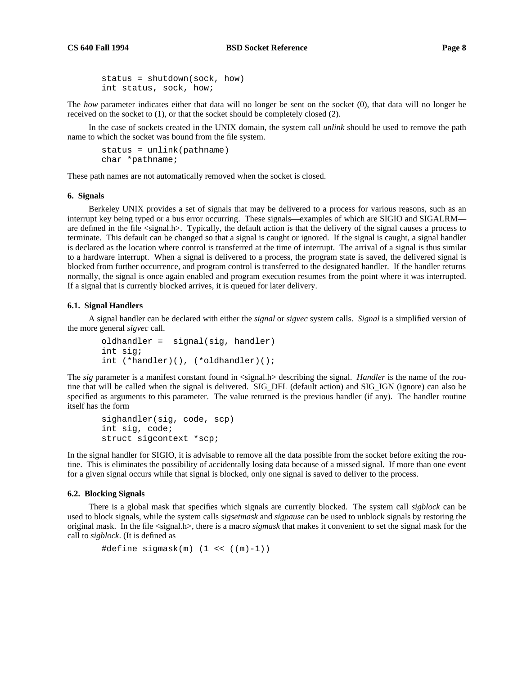The *how* parameter indicates either that data will no longer be sent on the socket (0), that data will no longer be received on the socket to  $(1)$ , or that the socket should be completely closed  $(2)$ .

In the case of sockets created in the UNIX domain, the system call *unlink* should be used to remove the path name to which the socket was bound from the file system.

```
status = unlink(pathname)
char *pathname;
```
These path names are not automatically removed when the socket is closed.

### **6. Signals**

Berkeley UNIX provides a set of signals that may be delivered to a process for various reasons, such as an interrupt key being typed or a bus error occurring. These signals—examples of which are SIGIO and SIGALRM are defined in the file <signal.h>. Typically, the default action is that the delivery of the signal causes a process to terminate. This default can be changed so that a signal is caught or ignored. If the signal is caught, a signal handler is declared as the location where control is transferred at the time of interrupt. The arrival of a signal is thus similar to a hardware interrupt. When a signal is delivered to a process, the program state is saved, the delivered signal is blocked from further occurrence, and program control is transferred to the designated handler. If the handler returns normally, the signal is once again enabled and program execution resumes from the point where it was interrupted. If a signal that is currently blocked arrives, it is queued for later delivery.

#### **6.1. Signal Handlers**

A signal handler can be declared with either the *signal* or *sigvec* system calls. *Signal* is a simplified version of the more general *sigvec* call.

```
oldhandler = signal(sig, handler)
int sig;
int (*handler)(), (*oldhandler)();
```
The *sig* parameter is a manifest constant found in  $\langle$ signal.h> describing the signal. *Handler* is the name of the routine that will be called when the signal is delivered. SIG\_DFL (default action) and SIG\_IGN (ignore) can also be specified as arguments to this parameter. The value returned is the previous handler (if any). The handler routine itself has the form

```
sighandler(sig, code, scp)
int sig, code;
struct sigcontext *scp;
```
In the signal handler for SIGIO, it is advisable to remove all the data possible from the socket before exiting the routine. This is eliminates the possibility of accidentally losing data because of a missed signal. If more than one event for a given signal occurs while that signal is blocked, only one signal is saved to deliver to the process.

### **6.2. Blocking Signals**

There is a global mask that specifies which signals are currently blocked. The system call *sigblock* can be used to block signals, while the system calls *sigsetmask* and *sigpause* can be used to unblock signals by restoring the original mask. In the file <signal.h>, there is a macro *sigmask* that makes it convenient to set the signal mask for the call to *sigblock*. (It is defined as

```
#define sigmask(m) (1 << ((m)-1))
```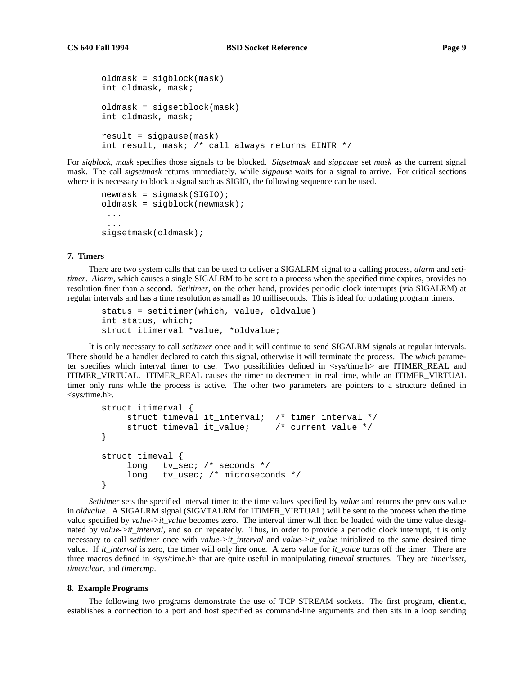```
oldmask = sigblock(mask)
int oldmask, mask;
oldmask = sigsetblock(mask)
int oldmask, mask;
result = sigpause(mask)
int result, mask; /* call always returns EINTR */
```
For *sigblock*, *mask* specifies those signals to be blocked. *Sigsetmask* and *sigpause* set *mask* as the current signal mask. The call *sigsetmask* returns immediately, while *sigpause* waits for a signal to arrive. For critical sections where it is necessary to block a signal such as SIGIO, the following sequence can be used.

```
newmask = sigmask(SIGIO);
oldmask = sigblock(newmask);
 ...
 ...
sigsetmask(oldmask);
```
### **7. Timers**

There are two system calls that can be used to deliver a SIGALRM signal to a calling process, *alarm* and *setitimer*. *Alarm*, which causes a single SIGALRM to be sent to a process when the specified time expires, provides no resolution finer than a second. *Setitimer*, on the other hand, provides periodic clock interrupts (via SIGALRM) at regular intervals and has a time resolution as small as 10 milliseconds. This is ideal for updating program timers.

```
status = setitimer(which, value, oldvalue)
int status, which;
struct itimerval *value, *oldvalue;
```
It is only necessary to call *setitimer* once and it will continue to send SIGALRM signals at regular intervals. There should be a handler declared to catch this signal, otherwise it will terminate the process. The *which* parameter specifies which interval timer to use. Two possibilities defined in <sys/time.h> are ITIMER\_REAL and ITIMER\_VIRTUAL. ITIMER\_REAL causes the timer to decrement in real time, while an ITIMER\_VIRTUAL timer only runs while the process is active. The other two parameters are pointers to a structure defined in <sys/time.h>.

```
struct itimerval {
    struct timeval it_interval; /* timer interval */
    struct timeval it_value; /* current value */
}
struct timeval {
    long tv_sec; /* seconds */
    long tv_usec; /* microseconds */
}
```
*Setitimer* sets the specified interval timer to the time values specified by *value* and returns the previous value in *oldvalue*. A SIGALRM signal (SIGVTALRM for ITIMER\_VIRTUAL) will be sent to the process when the time value specified by *value->it\_value* becomes zero. The interval timer will then be loaded with the time value designated by *value->it\_interval*, and so on repeatedly. Thus, in order to provide a periodic clock interrupt, it is only necessary to call *setitimer* once with *value->it\_interval* and *value->it\_value* initialized to the same desired time value. If *it\_interval* is zero, the timer will only fire once. A zero value for *it\_value* turns off the timer. There are three macros defined in <sys/time.h> that are quite useful in manipulating *timeval* structures. They are *timerisset*, *timerclear*, and *timercmp*.

#### **8. Example Programs**

The following two programs demonstrate the use of TCP STREAM sockets. The first program, **client.c**, establishes a connection to a port and host specified as command-line arguments and then sits in a loop sending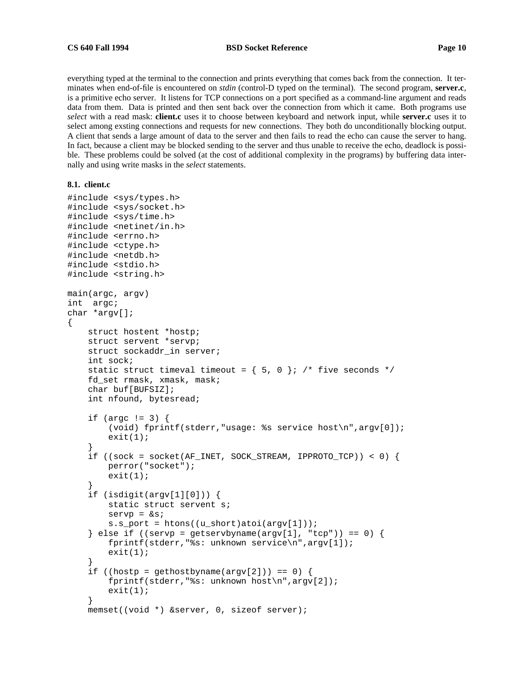everything typed at the terminal to the connection and prints everything that comes back from the connection. It terminates when end-of-file is encountered on *stdin* (control-D typed on the terminal). The second program, **server.c**, is a primitive echo server. It listens for TCP connections on a port specified as a command-line argument and reads data from them. Data is printed and then sent back over the connection from which it came. Both programs use *select* with a read mask: **client.c** uses it to choose between keyboard and network input, while **server.c** uses it to select among exsting connections and requests for new connections. They both do unconditionally blocking output. A client that sends a large amount of data to the server and then fails to read the echo can cause the server to hang. In fact, because a client may be blocked sending to the server and thus unable to receive the echo, deadlock is possible. These problems could be solved (at the cost of additional complexity in the programs) by buffering data internally and using write masks in the *select* statements.

## **8.1. client.c**

```
#include <sys/types.h>
#include <sys/socket.h>
#include <sys/time.h>
#include <netinet/in.h>
#include <errno.h>
#include <ctype.h>
#include <netdb.h>
#include <stdio.h>
#include <string.h>
main(argc, argv)
int argc;
char *argv[];
\{struct hostent *hostp;
    struct servent *servp;
    struct sockaddr_in server;
    int sock;
    static struct timeval timeout = \{ 5, 0 \}; /* five seconds */
    fd_set rmask, xmask, mask;
    char buf[BUFSIZ];
    int nfound, bytesread;
    if (argc != 3) {
        (void) fprintf(stderr,"usage: %s service host\n",argv[0]);
        exit(1);}
    if ((sock = socket(AF_INET, SOCK_STREAM, IPPROTO_TCP)) < 0) {
        perror("socket");
        exit(1);}
    if (isdigit(argv[1][0])) {
        static struct servent s;
        servp = <math>k s</math>;s.s_port = htons((u_short)atoi(argv[1]));
    } else if ((servp = getservbyname(argv[1], "tcp")) == 0) {
        fprintf(stderr,"%s: unknown service\n",argv[1]);
        exit(1);}
    if ((hostp = gethostbyname(argv[2])) == 0) {
        fprintf(stderr,"%s: unknown host\n",argv[2]);
        exit(1);}
    memset((void *) &server, 0, sizeof server);
```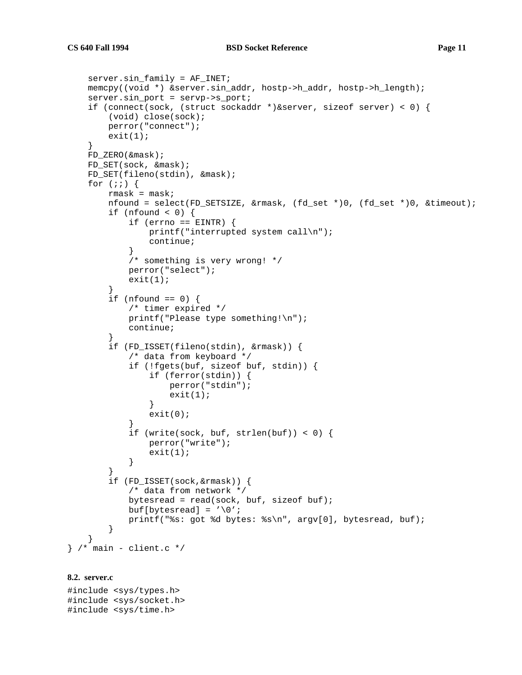```
server.sin family = AF_INET;
   memcpy((void *) &server.sin_addr, hostp->h_addr, hostp->h_length);
   server.sin_port = servp->s_port;
    if (connect(sock, (struct sockaddr *)&server, sizeof server) < 0) {
        (void) close(sock);
       perror("connect");
        exit(1);}
   FD_ZERO(&mask);
   FD_SET(sock, &mask);
   FD SET(fileno(stdin), &mask);
   for (i; j) {
        rmask = mask;
       nfound = select(FD_SETSIZE, &rmask, (fd_set *)0, (fd_set *)0, &timeout);
        if (nfound <0) {
            if (errno == EINTR) {
                printf("interrupted system call\n");
                continue;
            }
            /* something is very wrong! */
            perror("select");
            exit(1);}
        if (nfound == 0) {
            /* timer expired */
           printf("Please type something!\n");
            continue;
        }
        if (FD_ISSET(fileno(stdin), &rmask)) {
            /* data from keyboard */
            if (!fgets(buf, sizeof buf, stdin)) {
                if (ferror(stdin)) {
                    perror("stdin");
                    exit(1);}
                exit(0);}
            if (write(sock, buf, strlen(buf)) < 0) {
                perror("write");
                exit(1);}
        }
        if (FD_ISSET(sock,&rmask)) {
           /* data from network */
           bytesread = read(sock, buf, sizeof buf);
           buf[bytesread] = \sqrt{0'i}printf("%s: got %d bytes: %s\n", argv[0], bytesread, buf);
        }
    }
} /* main - client.c */
```
# **8.2. server.c**

#include <sys/types.h> #include <sys/socket.h> #include <sys/time.h>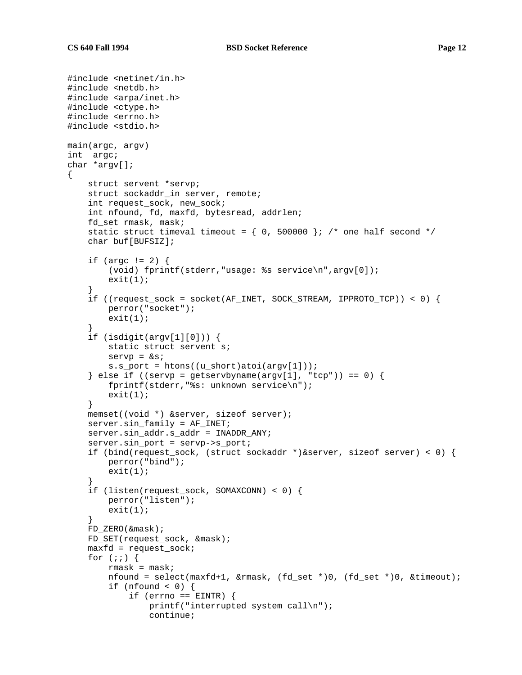{

```
#include <netinet/in.h>
#include <netdb.h>
#include <arpa/inet.h>
#include <ctype.h>
#include <errno.h>
#include <stdio.h>
main(argc, argv)
int argc;
char *argv[];
    struct servent *servp;
    struct sockaddr_in server, remote;
    int request_sock, new_sock;
    int nfound, fd, maxfd, bytesread, addrlen;
    fd_set rmask, mask;
    static struct timeval timeout = \{ 0, 500000 \}; /* one half second */
    char buf[BUFSIZ];
    if (argc != 2) {
        (void) fprintf(stderr,"usage: %s service\n",argv[0]);
        exit(1);}
    if ((request_sock = socket(AF_INET, SOCK_STREAM, IPPROTO_TCP)) < 0) {
        perror("socket");
        exit(1);}
    if (isdigit(argv[1][0])) {
        static struct servent s;
        servp = <math>k s</math>;s.s_port = htons((u_short)atoi(argv[1]));
    } else if ((servp = getservbyname(argv[1], "tcp")) == 0) {
        fprintf(stderr,"%s: unknown service\n");
        exit(1);}
    memset((void *) &server, sizeof server);
    server.sin_family = AF_INET;
    server.sin_addr.s_addr = INADDR_ANY;
    server.sin port = servp->s port;
    if (bind(request_sock, (struct sockaddr *)&server, sizeof server) < 0) {
        perror("bind");
        exit(1);}
    if (listen(request_sock, SOMAXCONN) < 0) {
        perror("listen");
        exit(1);}
    FD_ZERO(&mask);
    FD_SET(request_sock, &mask);
    maxfd = request\_sock;for (i; j) {
        rmask = mask;
        nfound = select(maxfd+1, &rmask, (fd_set *)0, (fd_set *)0, &timeout);
        if (nfound <0) {
            if (errno == EINTR) {
                printf("interrupted system call\n");
                continue;
```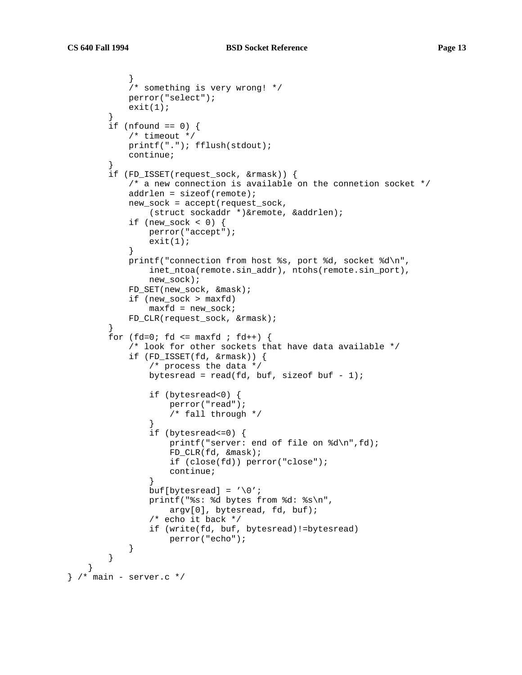}

```
}
            /* something is very wrong! */
           perror("select");
            exit(1);}
        if (nfound == 0) {
           /* timeout */
           printf("."); fflush(stdout);
            continue;
        }
        if (FD_ISSET(request_sock, &rmask)) {
            /* a new connection is available on the connetion socket */
            addrlen = sizeof(remote);
            new_sock = accept(request_sock,
                (struct sockaddr *)&remote, &addrlen);
            if (new sock < 0) {
                perror("accept");
                exit(1);}
            printf("connection from host %s, port %d, socket %d\n",
                inet_ntoa(remote.sin_addr), ntohs(remote.sin_port),
                new_sock);
            FD_SET(new_sock, &mask);
            if (new_sock > maxfd)
                maxfd = new_sock;FD_CLR(request_sock, &rmask);
        }
        for (fd=0; fd \leq maxfd ; fd++)/* look for other sockets that have data available */
            if (FD_ISSET(fd, &rmask)) {
               /* process the data */
                bytesread = read(fd, buf, sizeof buf - 1);
                if (bytesread<0) {
                    perror("read");
                    /* fall through */
                }
                if (bytesread<=0) {
                    printf("server: end of file on %d\n",fd);
                    FD_CLR(fd, &mask);
                    if (close(fd)) perror("close");
                    continue;
                }
                buf[bytesread] = \sqrt{0'i}printf("%s: %d bytes from %d: %s\n",
                    argv[0], bytesread, fd, buf);
                /* echo it back */if (write(fd, buf, bytesread)!=bytesread)
                    perror("echo");
            }
        }
} /* main - server.c */
```